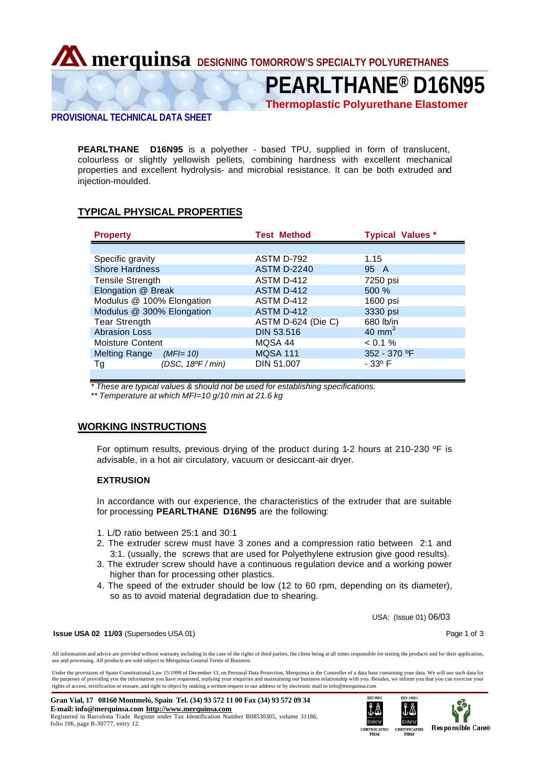**Merquinsa DESIGNING TOMORROW'S SPECIALTY POLYURETHANES** 

**PEARLTHANE® D16N95**

**Thermoplastic Polyurethane Elastomer**

# **PROVISIONAL TECHNICAL DATA SHEET**

**PEARLTHANE D16N95** is a polyether - based TPU, supplied in form of translucent, colourless or slightly yellowish pellets, combining hardness with excellent mechanical properties and excellent hydrolysis- and microbial resistance. It can be both extruded and injection-moulded.

# **TYPICAL PHYSICAL PROPERTIES**

| <b>Property</b>           |                   | <b>Test Method</b> | <b>Typical Values *</b> |
|---------------------------|-------------------|--------------------|-------------------------|
|                           |                   |                    |                         |
| Specific gravity          |                   | ASTM D-792         | 1.15                    |
| <b>Shore Hardness</b>     |                   | <b>ASTM D-2240</b> | 95 A                    |
| <b>Tensile Strength</b>   |                   | ASTM D-412         | 7250 psi                |
| Elongation @ Break        |                   | ASTM D-412         | 500%                    |
| Modulus @ 100% Elongation |                   | ASTM D-412         | 1600 psi                |
| Modulus @ 300% Elongation |                   | ASTM D-412         | 3330 psi                |
| <b>Tear Strength</b>      |                   | ASTM D-624 (Die C) | 680 lb/in               |
| <b>Abrasion Loss</b>      |                   | <b>DIN 53.516</b>  | $40 \text{ mm}^3$       |
| Moisture Content          |                   | MQSA 44            | $< 0.1 \%$              |
| Melting Range             | (MFI= 10)         | <b>MQSA 111</b>    | 352 - 370 °F            |
| Тg                        | (DSC, 18ºF / min) | DIN 51.007         | $-33^{\circ}$ F         |
|                           |                   |                    |                         |

*\* These are typical values & should not be used for establishing specifications.*

*\*\* Temperature at which MFI=10 g/10 min at 21.6 kg*

# **WORKING INSTRUCTIONS**

For optimum results, previous drying of the product during 1-2 hours at 210-230 ºF is advisable, in a hot air circulatory, vacuum or desiccant-air dryer.

## **EXTRUSION**

In accordance with our experience, the characteristics of the extruder that are suitable for processing **PEARLTHANE D16N95** are the following:

- 1. L/D ratio between 25:1 and 30:1
- 2. The extruder screw must have 3 zones and a compression ratio between 2:1 and 3:1. (usually, the screws that are used for Polyethylene extrusion give good results).
- 3. The extruder screw should have a continuous regulation device and a working power higher than for processing other plastics.
- 4. The speed of the extruder should be low (12 to 60 rpm, depending on its diameter), so as to avoid material degradation due to shearing.

USA: (Issue 01) 06/03

#### **Issue USA 02 11/03** (Supersedes USA 01) **Page 1 of 3 Page 1 of 3**

All information and advice are provided without warranty including in the case of the rights of third parties, the client being at all times responsible for testing the products and for their application, use and processing. All products are sold subject to Merquinsa General Terms of Business.

Under the provisions of Spain Constitutional Law 15/1999 of December 13, on Personal Data Protection, Merquinsa is the Controller of a data base containing your data. We will use such data for the purposes of providing you the information you have requested, replying your enquiries and maintaining our business relationship with you. Besides, we inform you that you can exercise your<br>rights of access, rectificatio

**Gran Vial, 17 08160 Montmeló, Spain Tel. (34) 93 572 11 00 Fax (34) 93 572 09 34 E-mail: info@merquinsa.com http://www.merquinsa.com** Registered in Barcelona Trade Register under Tax Identification Number B08530305, volume 31186, folio 106, page B-30777, entry 12.



 $150,14001$ ₫Å

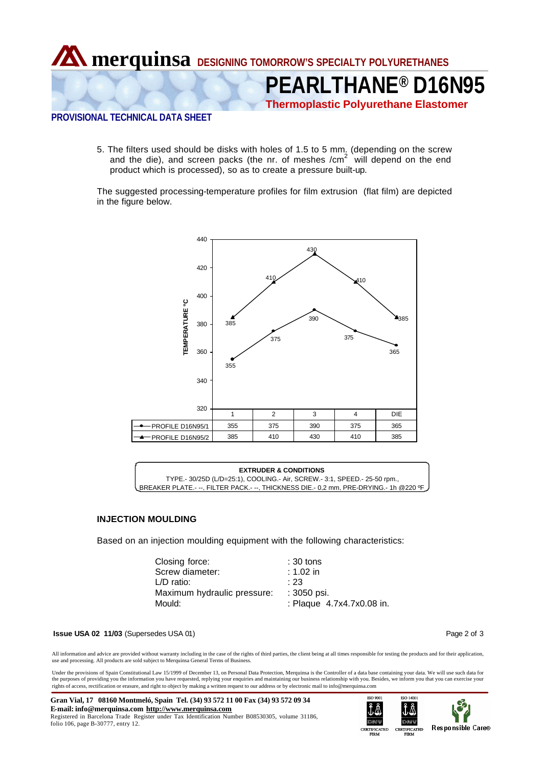

**PEARLTHANE® D16N95**

**Thermoplastic Polyurethane Elastomer**

# **PROVISIONAL TECHNICAL DATA SHEET**

5. The filters used should be disks with holes of 1.5 to 5 mm. (depending on the screw and the die), and screen packs (the nr. of meshes /cm $2$  will depend on the end product which is processed), so as to create a pressure built-up.

The suggested processing-temperature profiles for film extrusion (flat film) are depicted in the figure below.



## **EXTRUDER & CONDITIONS** TYPE.- 30/25D (L/D=25:1), COOLING.- Air, SCREW.- 3:1, SPEED.- 25-50 rpm., BREAKER PLATE.- --, FILTER PACK.- --, THICKNESS DIE.- 0,2 mm, PRE-DRYING.- 1h @220 ºF

## **INJECTION MOULDING**

Based on an injection moulding equipment with the following characteristics:

| Closing force:              | $:30$ tons                |
|-----------------------------|---------------------------|
| Screw diameter:             | :1.02 in                  |
| L/D ratio:                  | : 23                      |
| Maximum hydraulic pressure: | : 3050 psi.               |
| Mould:                      | : Plaque 4.7x4.7x0.08 in. |
|                             |                           |

#### **Issue USA 02 11/03** (Supersedes USA 01) **Page 2 of 3 Page 2 of 3**

All information and advice are provided without warranty including in the case of the rights of third parties, the client being at all times responsible for testing the products and for their application, use and processing. All products are sold subject to Merquinsa General Terms of Business.

Under the provisions of Spain Constitutional Law 15/1999 of December 13, on Personal Data Protection, Merquinsa is the Controller of a data base containing your data. We will use such data for the purposes of providing you the information you have requested, replying your enquiries and maintaining our business relationship with you. Besides, we inform you that you can exercise your<br>rights of access, rectificatio

**Gran Vial, 17 08160 Montmeló, Spain Tel. (34) 93 572 11 00 Fax (34) 93 572 09 34 E-mail: info@merquinsa.com http://www.merquinsa.com** Registered in Barcelona Trade Register under Tax Identification Number B08530305, volume 31186, folio 106, page B-30777, entry 12.